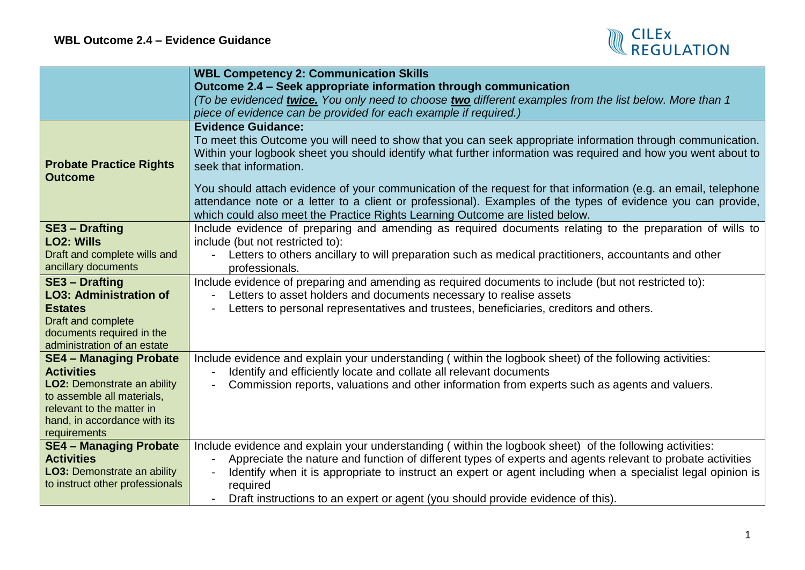

|                                                         | <b>WBL Competency 2: Communication Skills</b>                                                                  |
|---------------------------------------------------------|----------------------------------------------------------------------------------------------------------------|
|                                                         | Outcome 2.4 - Seek appropriate information through communication                                               |
|                                                         | To be evidenced twice. You only need to choose two different examples from the list below. More than 1         |
|                                                         | piece of evidence can be provided for each example if required.)                                               |
|                                                         | <b>Evidence Guidance:</b>                                                                                      |
|                                                         | To meet this Outcome you will need to show that you can seek appropriate information through communication.    |
|                                                         | Within your logbook sheet you should identify what further information was required and how you went about to  |
| <b>Probate Practice Rights</b>                          | seek that information.                                                                                         |
| <b>Outcome</b>                                          | You should attach evidence of your communication of the request for that information (e.g. an email, telephone |
|                                                         | attendance note or a letter to a client or professional). Examples of the types of evidence you can provide,   |
|                                                         | which could also meet the Practice Rights Learning Outcome are listed below.                                   |
| <b>SE3 - Drafting</b>                                   | Include evidence of preparing and amending as required documents relating to the preparation of wills to       |
| <b>LO2: Wills</b>                                       | include (but not restricted to):                                                                               |
| Draft and complete wills and                            | Letters to others ancillary to will preparation such as medical practitioners, accountants and other           |
| ancillary documents                                     | professionals.                                                                                                 |
| <b>SE3 - Drafting</b>                                   | Include evidence of preparing and amending as required documents to include (but not restricted to):           |
| <b>LO3: Administration of</b>                           | Letters to asset holders and documents necessary to realise assets                                             |
| <b>Estates</b>                                          | Letters to personal representatives and trustees, beneficiaries, creditors and others.                         |
| Draft and complete                                      |                                                                                                                |
| documents required in the                               |                                                                                                                |
| administration of an estate                             |                                                                                                                |
| <b>SE4 - Managing Probate</b>                           | Include evidence and explain your understanding (within the logbook sheet) of the following activities:        |
| <b>Activities</b>                                       | Identify and efficiently locate and collate all relevant documents                                             |
| <b>LO2: Demonstrate an ability</b>                      | Commission reports, valuations and other information from experts such as agents and valuers.                  |
| to assemble all materials,<br>relevant to the matter in |                                                                                                                |
| hand, in accordance with its                            |                                                                                                                |
| requirements                                            |                                                                                                                |
| <b>SE4 - Managing Probate</b>                           | Include evidence and explain your understanding (within the logbook sheet) of the following activities:        |
| <b>Activities</b>                                       | Appreciate the nature and function of different types of experts and agents relevant to probate activities     |
| <b>LO3: Demonstrate an ability</b>                      | Identify when it is appropriate to instruct an expert or agent including when a specialist legal opinion is    |
| to instruct other professionals                         | required                                                                                                       |
|                                                         | Draft instructions to an expert or agent (you should provide evidence of this).                                |